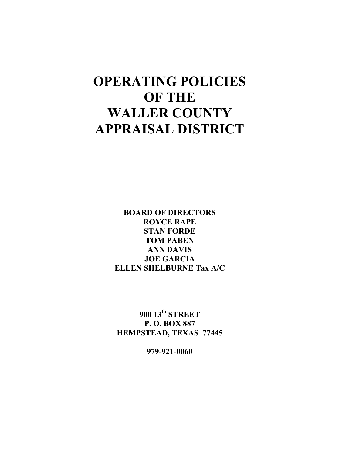# **OPERATING POLICIES OF THE WALLER COUNTY APPRAISAL DISTRICT**

**BOARD OF DIRECTORS ROYCE RAPE STAN FORDE TOM PABEN ANN DAVIS JOE GARCIA ELLEN SHELBURNE Tax A/C** 

**900 13th STREET P. O. BOX 887 HEMPSTEAD, TEXAS 77445** 

**979-921-0060**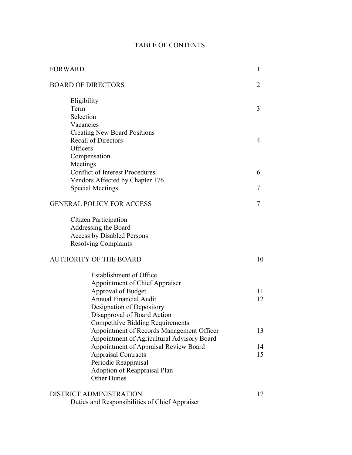## TABLE OF CONTENTS

| <b>FORWARD</b>                                      | 1      |
|-----------------------------------------------------|--------|
| <b>BOARD OF DIRECTORS</b>                           | 2      |
| Eligibility                                         |        |
| Term                                                | 3      |
| Selection                                           |        |
| Vacancies                                           |        |
| <b>Creating New Board Positions</b>                 |        |
| <b>Recall of Directors</b>                          | 4      |
| Officers                                            |        |
| Compensation                                        |        |
| Meetings<br><b>Conflict of Interest Procedures</b>  |        |
| Vendors Affected by Chapter 176                     | 6      |
| <b>Special Meetings</b>                             | 7      |
|                                                     |        |
| <b>GENERAL POLICY FOR ACCESS</b>                    | $\tau$ |
| <b>Citizen Participation</b>                        |        |
| Addressing the Board                                |        |
| <b>Access by Disabled Persons</b>                   |        |
| <b>Resolving Complaints</b>                         |        |
| <b>AUTHORITY OF THE BOARD</b>                       | 10     |
| Establishment of Office                             |        |
| <b>Appointment of Chief Appraiser</b>               |        |
| Approval of Budget                                  | 11     |
| <b>Annual Financial Audit</b>                       | 12     |
| Designation of Depository                           |        |
| Disapproval of Board Action                         |        |
| <b>Competitive Bidding Requirements</b>             |        |
| Appointment of Records Management Officer           | 13     |
| Appointment of Agricultural Advisory Board          |        |
| Appointment of Appraisal Review Board               | 14     |
| <b>Appraisal Contracts</b>                          | 15     |
| Periodic Reappraisal                                |        |
| Adoption of Reappraisal Plan<br><b>Other Duties</b> |        |
| <b>DISTRICT ADMINISTRATION</b>                      | 17     |
| Duties and Responsibilities of Chief Appraiser      |        |
|                                                     |        |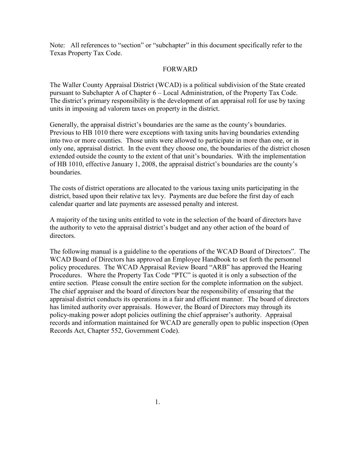Note: All references to "section" or "subchapter" in this document specifically refer to the Texas Property Tax Code.

#### FORWARD

The Waller County Appraisal District (WCAD) is a political subdivision of the State created pursuant to Subchapter A of Chapter 6 – Local Administration, of the Property Tax Code. The district's primary responsibility is the development of an appraisal roll for use by taxing units in imposing ad valorem taxes on property in the district.

Generally, the appraisal district's boundaries are the same as the county's boundaries. Previous to HB 1010 there were exceptions with taxing units having boundaries extending into two or more counties. Those units were allowed to participate in more than one, or in only one, appraisal district. In the event they choose one, the boundaries of the district chosen extended outside the county to the extent of that unit's boundaries. With the implementation of HB 1010, effective January 1, 2008, the appraisal district's boundaries are the county's boundaries.

The costs of district operations are allocated to the various taxing units participating in the district, based upon their relative tax levy. Payments are due before the first day of each calendar quarter and late payments are assessed penalty and interest.

A majority of the taxing units entitled to vote in the selection of the board of directors have the authority to veto the appraisal district's budget and any other action of the board of directors.

The following manual is a guideline to the operations of the WCAD Board of Directors". The WCAD Board of Directors has approved an Employee Handbook to set forth the personnel policy procedures. The WCAD Appraisal Review Board "ARB" has approved the Hearing Procedures. Where the Property Tax Code "PTC" is quoted it is only a subsection of the entire section. Please consult the entire section for the complete information on the subject. The chief appraiser and the board of directors bear the responsibility of ensuring that the appraisal district conducts its operations in a fair and efficient manner. The board of directors has limited authority over appraisals. However, the Board of Directors may through its policy-making power adopt policies outlining the chief appraiser's authority. Appraisal records and information maintained for WCAD are generally open to public inspection (Open Records Act, Chapter 552, Government Code).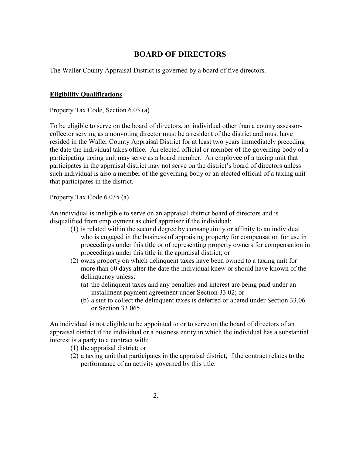# **BOARD OF DIRECTORS**

The Waller County Appraisal District is governed by a board of five directors.

#### **Eligibility Qualifications**

Property Tax Code, Section 6.03 (a)

To be eligible to serve on the board of directors, an individual other than a county assessorcollector serving as a nonvoting director must be a resident of the district and must have resided in the Waller County Appraisal District for at least two years immediately preceding the date the individual takes office. An elected official or member of the governing body of a participating taxing unit may serve as a board member. An employee of a taxing unit that participates in the appraisal district may not serve on the district's board of directors unless such individual is also a member of the governing body or an elected official of a taxing unit that participates in the district.

Property Tax Code 6.035 (a)

An individual is ineligible to serve on an appraisal district board of directors and is disqualified from employment as chief appraiser if the individual:

- (1) is related within the second degree by consanguinity or affinity to an individual who is engaged in the business of appraising property for compensation for use in proceedings under this title or of representing property owners for compensation in proceedings under this title in the appraisal district; or
- (2) owns property on which delinquent taxes have been owned to a taxing unit for more than 60 days after the date the individual knew or should have known of the delinquency unless:
	- (a) the delinquent taxes and any penalties and interest are being paid under an installment payment agreement under Section 33.02; or
	- (b) a suit to collect the delinquent taxes is deferred or abated under Section 33.06 or Section 33.065.

An individual is not eligible to be appointed to or to serve on the board of directors of an appraisal district if the individual or a business entity in which the individual has a substantial interest is a party to a contract with:

- (1) the appraisal district; or
- (2) a taxing unit that participates in the appraisal district, if the contract relates to the performance of an activity governed by this title.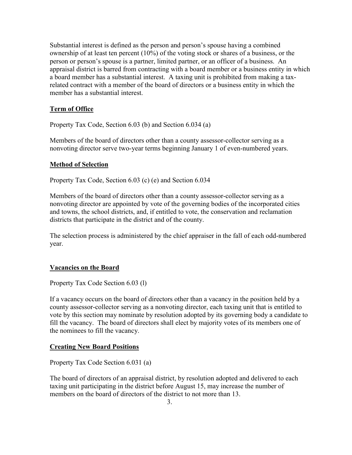Substantial interest is defined as the person and person's spouse having a combined ownership of at least ten percent (10%) of the voting stock or shares of a business, or the person or person's spouse is a partner, limited partner, or an officer of a business. An appraisal district is barred from contracting with a board member or a business entity in which a board member has a substantial interest. A taxing unit is prohibited from making a taxrelated contract with a member of the board of directors or a business entity in which the member has a substantial interest.

## **Term of Office**

Property Tax Code, Section 6.03 (b) and Section 6.034 (a)

Members of the board of directors other than a county assessor-collector serving as a nonvoting director serve two-year terms beginning January 1 of even-numbered years.

### **Method of Selection**

Property Tax Code, Section 6.03 (c) (e) and Section 6.034

Members of the board of directors other than a county assessor-collector serving as a nonvoting director are appointed by vote of the governing bodies of the incorporated cities and towns, the school districts, and, if entitled to vote, the conservation and reclamation districts that participate in the district and of the county.

The selection process is administered by the chief appraiser in the fall of each odd-numbered year.

### **Vacancies on the Board**

Property Tax Code Section 6.03 (l)

If a vacancy occurs on the board of directors other than a vacancy in the position held by a county assessor-collector serving as a nonvoting director, each taxing unit that is entitled to vote by this section may nominate by resolution adopted by its governing body a candidate to fill the vacancy. The board of directors shall elect by majority votes of its members one of the nominees to fill the vacancy.

### **Creating New Board Positions**

Property Tax Code Section 6.031 (a)

The board of directors of an appraisal district, by resolution adopted and delivered to each taxing unit participating in the district before August 15, may increase the number of members on the board of directors of the district to not more than 13.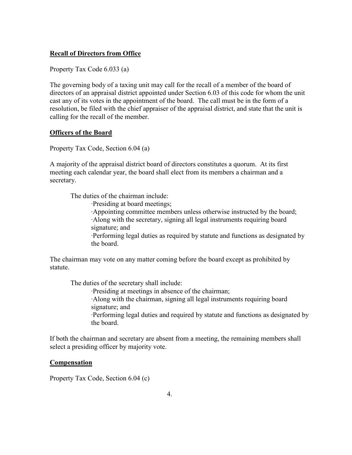#### **Recall of Directors from Office**

Property Tax Code 6.033 (a)

The governing body of a taxing unit may call for the recall of a member of the board of directors of an appraisal district appointed under Section 6.03 of this code for whom the unit cast any of its votes in the appointment of the board. The call must be in the form of a resolution, be filed with the chief appraiser of the appraisal district, and state that the unit is calling for the recall of the member.

#### **Officers of the Board**

Property Tax Code, Section 6.04 (a)

A majority of the appraisal district board of directors constitutes a quorum. At its first meeting each calendar year, the board shall elect from its members a chairman and a secretary.

The duties of the chairman include:

·Presiding at board meetings;

 ·Appointing committee members unless otherwise instructed by the board; ·Along with the secretary, signing all legal instruments requiring board signature; and

·Performing legal duties as required by statute and functions as designated by the board.

The chairman may vote on any matter coming before the board except as prohibited by statute.

The duties of the secretary shall include:

 ·Presiding at meetings in absence of the chairman; ·Along with the chairman, signing all legal instruments requiring board signature; and ·Performing legal duties and required by statute and functions as designated by the board.

If both the chairman and secretary are absent from a meeting, the remaining members shall select a presiding officer by majority vote.

#### **Compensation**

Property Tax Code, Section 6.04 (c)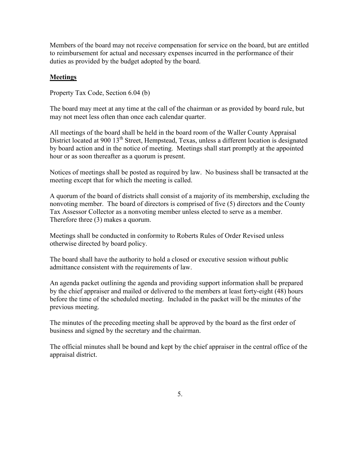Members of the board may not receive compensation for service on the board, but are entitled to reimbursement for actual and necessary expenses incurred in the performance of their duties as provided by the budget adopted by the board.

#### **Meetings**

Property Tax Code, Section 6.04 (b)

The board may meet at any time at the call of the chairman or as provided by board rule, but may not meet less often than once each calendar quarter.

All meetings of the board shall be held in the board room of the Waller County Appraisal District located at 900 13<sup>th</sup> Street, Hempstead, Texas, unless a different location is designated by board action and in the notice of meeting. Meetings shall start promptly at the appointed hour or as soon thereafter as a quorum is present.

Notices of meetings shall be posted as required by law. No business shall be transacted at the meeting except that for which the meeting is called.

A quorum of the board of districts shall consist of a majority of its membership, excluding the nonvoting member. The board of directors is comprised of five (5) directors and the County Tax Assessor Collector as a nonvoting member unless elected to serve as a member. Therefore three (3) makes a quorum.

Meetings shall be conducted in conformity to Roberts Rules of Order Revised unless otherwise directed by board policy.

The board shall have the authority to hold a closed or executive session without public admittance consistent with the requirements of law.

An agenda packet outlining the agenda and providing support information shall be prepared by the chief appraiser and mailed or delivered to the members at least forty-eight (48) hours before the time of the scheduled meeting. Included in the packet will be the minutes of the previous meeting.

The minutes of the preceding meeting shall be approved by the board as the first order of business and signed by the secretary and the chairman.

The official minutes shall be bound and kept by the chief appraiser in the central office of the appraisal district.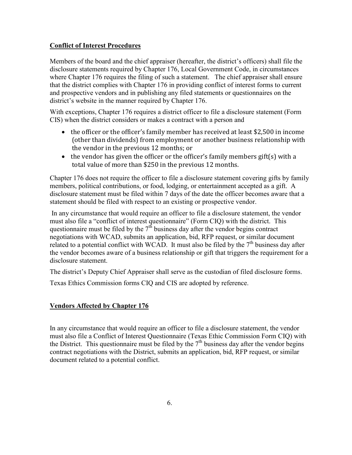### **Conflict of Interest Procedures**

Members of the board and the chief appraiser (hereafter, the district's officers) shall file the disclosure statements required by Chapter 176, Local Government Code, in circumstances where Chapter 176 requires the filing of such a statement. The chief appraiser shall ensure that the district complies with Chapter 176 in providing conflict of interest forms to current and prospective vendors and in publishing any filed statements or questionnaires on the district's website in the manner required by Chapter 176.

With exceptions, Chapter 176 requires a district officer to file a disclosure statement (Form CIS) when the district considers or makes a contract with a person and

- the officer or the officer's family member has received at least \$2,500 in income (other than dividends) from employment or another business relationship with the vendor in the previous 12 months; or
- the vendor has given the officer or the officer's family members gift(s) with a total value of more than \$250 in the previous 12 months.

Chapter 176 does not require the officer to file a disclosure statement covering gifts by family members, political contributions, or food, lodging, or entertainment accepted as a gift. A disclosure statement must be filed within 7 days of the date the officer becomes aware that a statement should be filed with respect to an existing or prospective vendor.

 In any circumstance that would require an officer to file a disclosure statement, the vendor must also file a "conflict of interest questionnaire" (Form CIQ) with the district. This questionnaire must be filed by the  $7<sup>th</sup>$  business day after the vendor begins contract negotiations with WCAD, submits an application, bid, RFP request, or similar document related to a potential conflict with WCAD. It must also be filed by the  $7<sup>th</sup>$  business day after the vendor becomes aware of a business relationship or gift that triggers the requirement for a disclosure statement.

The district's Deputy Chief Appraiser shall serve as the custodian of filed disclosure forms.

Texas Ethics Commission forms CIQ and CIS are adopted by reference.

### **Vendors Affected by Chapter 176**

In any circumstance that would require an officer to file a disclosure statement, the vendor must also file a Conflict of Interest Questionnaire (Texas Ethic Commission Form CIQ) with the District. This questionnaire must be filed by the  $7<sup>th</sup>$  business day after the vendor begins contract negotiations with the District, submits an application, bid, RFP request, or similar document related to a potential conflict.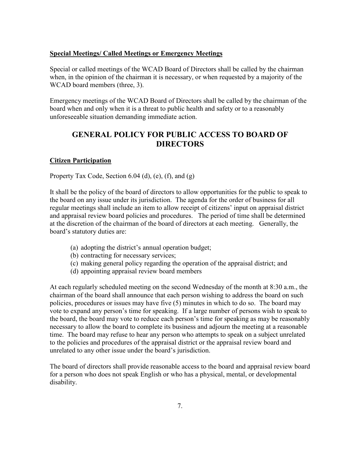#### **Special Meetings/ Called Meetings or Emergency Meetings**

Special or called meetings of the WCAD Board of Directors shall be called by the chairman when, in the opinion of the chairman it is necessary, or when requested by a majority of the WCAD board members (three, 3).

Emergency meetings of the WCAD Board of Directors shall be called by the chairman of the board when and only when it is a threat to public health and safety or to a reasonably unforeseeable situation demanding immediate action.

## **GENERAL POLICY FOR PUBLIC ACCESS TO BOARD OF DIRECTORS**

#### **Citizen Participation**

Property Tax Code, Section 6.04 (d), (e), (f), and (g)

It shall be the policy of the board of directors to allow opportunities for the public to speak to the board on any issue under its jurisdiction. The agenda for the order of business for all regular meetings shall include an item to allow receipt of citizens' input on appraisal district and appraisal review board policies and procedures. The period of time shall be determined at the discretion of the chairman of the board of directors at each meeting. Generally, the board's statutory duties are:

- (a) adopting the district's annual operation budget;
- (b) contracting for necessary services;
- (c) making general policy regarding the operation of the appraisal district; and
- (d) appointing appraisal review board members

At each regularly scheduled meeting on the second Wednesday of the month at 8:30 a.m., the chairman of the board shall announce that each person wishing to address the board on such policies, procedures or issues may have five (5) minutes in which to do so. The board may vote to expand any person's time for speaking. If a large number of persons wish to speak to the board, the board may vote to reduce each person's time for speaking as may be reasonably necessary to allow the board to complete its business and adjourn the meeting at a reasonable time. The board may refuse to hear any person who attempts to speak on a subject unrelated to the policies and procedures of the appraisal district or the appraisal review board and unrelated to any other issue under the board's jurisdiction.

The board of directors shall provide reasonable access to the board and appraisal review board for a person who does not speak English or who has a physical, mental, or developmental disability.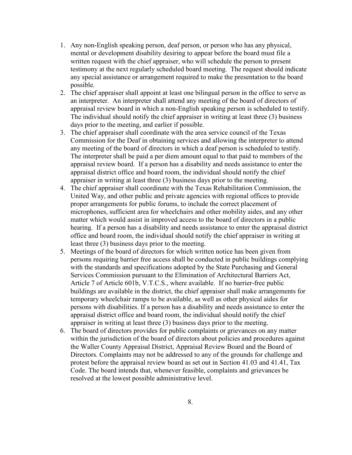- 1. Any non-English speaking person, deaf person, or person who has any physical, mental or development disability desiring to appear before the board must file a written request with the chief appraiser, who will schedule the person to present testimony at the next regularly scheduled board meeting. The request should indicate any special assistance or arrangement required to make the presentation to the board possible.
- 2. The chief appraiser shall appoint at least one bilingual person in the office to serve as an interpreter. An interpreter shall attend any meeting of the board of directors of appraisal review board in which a non-English speaking person is scheduled to testify. The individual should notify the chief appraiser in writing at least three (3) business days prior to the meeting, and earlier if possible.
- 3. The chief appraiser shall coordinate with the area service council of the Texas Commission for the Deaf in obtaining services and allowing the interpreter to attend any meeting of the board of directors in which a deaf person is scheduled to testify. The interpreter shall be paid a per diem amount equal to that paid to members of the appraisal review board. If a person has a disability and needs assistance to enter the appraisal district office and board room, the individual should notify the chief appraiser in writing at least three (3) business days prior to the meeting.
- 4. The chief appraiser shall coordinate with the Texas Rehabilitation Commission, the United Way, and other public and private agencies with regional offices to provide proper arrangements for public forums, to include the correct placement of microphones, sufficient area for wheelchairs and other mobility aides, and any other matter which would assist in improved access to the board of directors in a public hearing. If a person has a disability and needs assistance to enter the appraisal district office and board room, the individual should notify the chief appraiser in writing at least three (3) business days prior to the meeting.
- 5. Meetings of the board of directors for which written notice has been given from persons requiring barrier free access shall be conducted in public buildings complying with the standards and specifications adopted by the State Purchasing and General Services Commission pursuant to the Elimination of Architectural Barriers Act, Article 7 of Article 601b, V.T.C.S., where available. If no barrier-free public buildings are available in the district, the chief appraiser shall make arrangements for temporary wheelchair ramps to be available, as well as other physical aides for persons with disabilities. If a person has a disability and needs assistance to enter the appraisal district office and board room, the individual should notify the chief appraiser in writing at least three (3) business days prior to the meeting.
- 6. The board of directors provides for public complaints or grievances on any matter within the jurisdiction of the board of directors about policies and procedures against the Waller County Appraisal District, Appraisal Review Board and the Board of Directors. Complaints may not be addressed to any of the grounds for challenge and protest before the appraisal review board as set out in Section 41.03 and 41.41, Tax Code. The board intends that, whenever feasible, complaints and grievances be resolved at the lowest possible administrative level.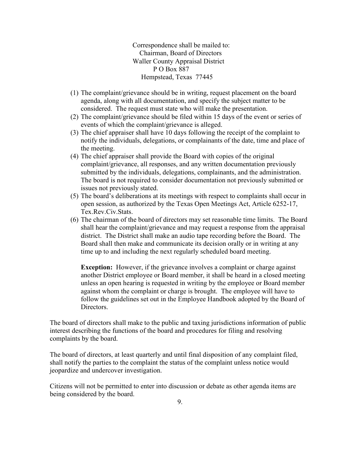Correspondence shall be mailed to: Chairman, Board of Directors Waller County Appraisal District P O Box 887 Hempstead, Texas 77445

- (1) The complaint/grievance should be in writing, request placement on the board agenda, along with all documentation, and specify the subject matter to be considered. The request must state who will make the presentation.
- (2) The complaint/grievance should be filed within 15 days of the event or series of events of which the complaint/grievance is alleged.
- (3) The chief appraiser shall have 10 days following the receipt of the complaint to notify the individuals, delegations, or complainants of the date, time and place of the meeting.
- (4) The chief appraiser shall provide the Board with copies of the original complaint/grievance, all responses, and any written documentation previously submitted by the individuals, delegations, complainants, and the administration. The board is not required to consider documentation not previously submitted or issues not previously stated.
- (5) The board's deliberations at its meetings with respect to complaints shall occur in open session, as authorized by the Texas Open Meetings Act, Article 6252-17, Tex.Rev.Civ.Stats.
- (6) The chairman of the board of directors may set reasonable time limits. The Board shall hear the complaint/grievance and may request a response from the appraisal district. The District shall make an audio tape recording before the Board. The Board shall then make and communicate its decision orally or in writing at any time up to and including the next regularly scheduled board meeting.

**Exception:** However, if the grievance involves a complaint or charge against another District employee or Board member, it shall be heard in a closed meeting unless an open hearing is requested in writing by the employee or Board member against whom the complaint or charge is brought. The employee will have to follow the guidelines set out in the Employee Handbook adopted by the Board of Directors.

The board of directors shall make to the public and taxing jurisdictions information of public interest describing the functions of the board and procedures for filing and resolving complaints by the board.

The board of directors, at least quarterly and until final disposition of any complaint filed, shall notify the parties to the complaint the status of the complaint unless notice would jeopardize and undercover investigation.

Citizens will not be permitted to enter into discussion or debate as other agenda items are being considered by the board.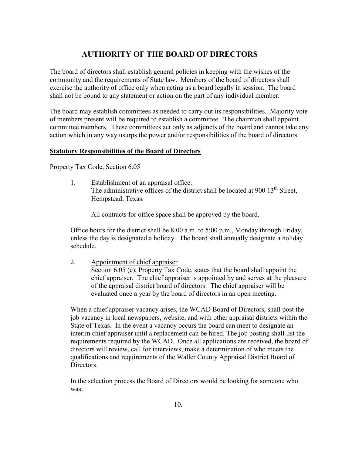# **AUTHORITY OF THE BOARD OF DIRECTORS**

The board of directors shall establish general policies in keeping with the wishes of the community and the requirements of State law. Members of the board of directors shall exercise the authority of office only when acting as a board legally in session. The board shall not be bound to any statement or action on the part of any individual member.

The board may establish committees as needed to carry out its responsibilities. Majority vote of members present will be required to establish a committee. The chairman shall appoint committee members. These committees act only as adjuncts of the board and cannot take any action which in any way usurps the power and/or responsibilities of the board of directors.

#### **Statutory Responsibilities of the Board of Directors**

Property Tax Code, Section 6.05

1. Establishment of an appraisal office: The administrative offices of the district shall be located at 900 13<sup>th</sup> Street, Hempstead, Texas.

All contracts for office space shall be approved by the board.

Office hours for the district shall be 8:00 a.m. to 5:00 p.m., Monday through Friday, unless the day is designated a holiday. The board shall annually designate a holiday schedule.

2. Appointment of chief appraiser Section 6.05 (c), Property Tax Code, states that the board shall appoint the chief appraiser. The chief appraiser is appointed by and serves at the pleasure of the appraisal district board of directors. The chief appraiser will be evaluated once a year by the board of directors in an open meeting.

When a chief appraiser vacancy arises, the WCAD Board of Directors, shall post the job vacancy in local newspapers, website, and with other appraisal districts within the State of Texas. In the event a vacancy occurs the board can meet to designate an interim chief appraiser until a replacement can be hired. The job posting shall list the requirements required by the WCAD. Once all applications are received, the board of directors will review, call for interviews; make a determination of who meets the qualifications and requirements of the Waller County Appraisal District Board of **Directors** 

In the selection process the Board of Directors would be looking for someone who was: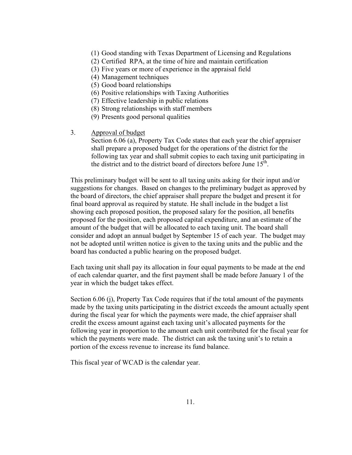- (1) Good standing with Texas Department of Licensing and Regulations
- (2) Certified RPA, at the time of hire and maintain certification
- (3) Five years or more of experience in the appraisal field
- (4) Management techniques
- (5) Good board relationships
- (6) Positive relationships with Taxing Authorities
- (7) Effective leadership in public relations
- (8) Strong relationships with staff members
- (9) Presents good personal qualities
- 3. Approval of budget

Section 6.06 (a), Property Tax Code states that each year the chief appraiser shall prepare a proposed budget for the operations of the district for the following tax year and shall submit copies to each taxing unit participating in the district and to the district board of directors before June  $15^{\text{th}}$ .

This preliminary budget will be sent to all taxing units asking for their input and/or suggestions for changes. Based on changes to the preliminary budget as approved by the board of directors, the chief appraiser shall prepare the budget and present it for final board approval as required by statute. He shall include in the budget a list showing each proposed position, the proposed salary for the position, all benefits proposed for the position, each proposed capital expenditure, and an estimate of the amount of the budget that will be allocated to each taxing unit. The board shall consider and adopt an annual budget by September 15 of each year. The budget may not be adopted until written notice is given to the taxing units and the public and the board has conducted a public hearing on the proposed budget.

Each taxing unit shall pay its allocation in four equal payments to be made at the end of each calendar quarter, and the first payment shall be made before January 1 of the year in which the budget takes effect.

Section 6.06 (j), Property Tax Code requires that if the total amount of the payments made by the taxing units participating in the district exceeds the amount actually spent during the fiscal year for which the payments were made, the chief appraiser shall credit the excess amount against each taxing unit's allocated payments for the following year in proportion to the amount each unit contributed for the fiscal year for which the payments were made. The district can ask the taxing unit's to retain a portion of the excess revenue to increase its fund balance.

This fiscal year of WCAD is the calendar year.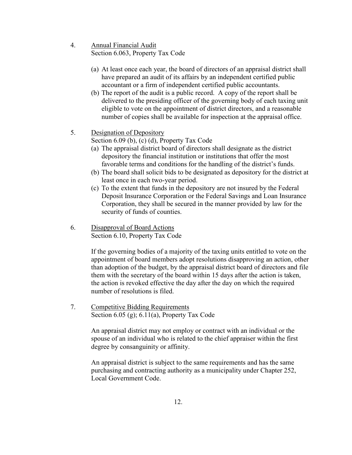- 4. Annual Financial Audit Section 6.063, Property Tax Code
	- (a) At least once each year, the board of directors of an appraisal district shall have prepared an audit of its affairs by an independent certified public accountant or a firm of independent certified public accountants.
	- (b) The report of the audit is a public record. A copy of the report shall be delivered to the presiding officer of the governing body of each taxing unit eligible to vote on the appointment of district directors, and a reasonable number of copies shall be available for inspection at the appraisal office.
- 5. Designation of Depository

Section 6.09 (b), (c) (d), Property Tax Code

- (a) The appraisal district board of directors shall designate as the district depository the financial institution or institutions that offer the most favorable terms and conditions for the handling of the district's funds.
- (b) The board shall solicit bids to be designated as depository for the district at least once in each two-year period.
- (c) To the extent that funds in the depository are not insured by the Federal Deposit Insurance Corporation or the Federal Savings and Loan Insurance Corporation, they shall be secured in the manner provided by law for the security of funds of counties.
- 6. Disapproval of Board Actions Section 6.10, Property Tax Code

If the governing bodies of a majority of the taxing units entitled to vote on the appointment of board members adopt resolutions disapproving an action, other than adoption of the budget, by the appraisal district board of directors and file them with the secretary of the board within 15 days after the action is taken, the action is revoked effective the day after the day on which the required number of resolutions is filed.

7. Competitive Bidding Requirements Section 6.05 (g); 6.11(a), Property Tax Code

> An appraisal district may not employ or contract with an individual or the spouse of an individual who is related to the chief appraiser within the first degree by consanguinity or affinity.

An appraisal district is subject to the same requirements and has the same purchasing and contracting authority as a municipality under Chapter 252, Local Government Code.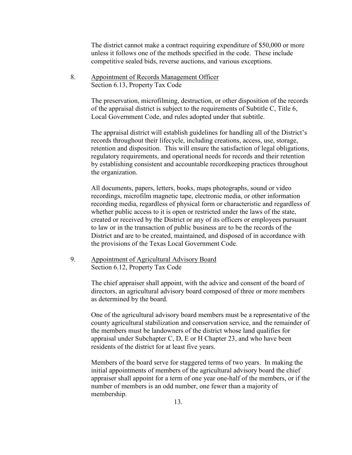The district cannot make a contract requiring expenditure of \$50,000 or more unless it follows one of the methods specified in the code. These include competitive sealed bids, reverse auctions, and various exceptions.

8. Appointment of Records Management Officer Section 6.13, Property Tax Code

> The preservation, microfilming, destruction, or other disposition of the records of the appraisal district is subject to the requirements of Subtitle C, Title 6, Local Government Code, and rules adopted under that subtitle.

> The appraisal district will establish guidelines for handling all of the District's records throughout their lifecycle, including creations, access, use, storage, retention and disposition. This will ensure the satisfaction of legal obligations, regulatory requirements, and operational needs for records and their retention by establishing consistent and accountable recordkeeping practices throughout the organization.

> All documents, papers, letters, books, maps photographs, sound or video recordings, microfilm magnetic tape, electronic media, or other information recording media, regardless of physical form or characteristic and regardless of whether public access to it is open or restricted under the laws of the state, created or received by the District or any of its officers or employees pursuant to law or in the transaction of public business are to be the records of the District and are to be created, maintained, and disposed of in accordance with the provisions of the Texas Local Government Code.

9. Appointment of Agricultural Advisory Board Section 6.12, Property Tax Code

> The chief appraiser shall appoint, with the advice and consent of the board of directors, an agricultural advisory board composed of three or more members as determined by the board.

One of the agricultural advisory board members must be a representative of the county agricultural stabilization and conservation service, and the remainder of the members must be landowners of the district whose land qualifies for appraisal under Subchapter C, D, E or H Chapter 23, and who have been residents of the district for at least five years.

Members of the board serve for staggered terms of two years. In making the initial appointments of members of the agricultural advisory board the chief appraiser shall appoint for a term of one year one-half of the members, or if the number of members is an odd number, one fewer than a majority of membership.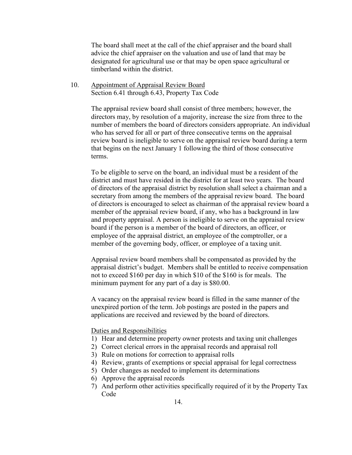The board shall meet at the call of the chief appraiser and the board shall advice the chief appraiser on the valuation and use of land that may be designated for agricultural use or that may be open space agricultural or timberland within the district.

10. Appointment of Appraisal Review Board Section 6.41 through 6.43, Property Tax Code

> The appraisal review board shall consist of three members; however, the directors may, by resolution of a majority, increase the size from three to the number of members the board of directors considers appropriate. An individual who has served for all or part of three consecutive terms on the appraisal review board is ineligible to serve on the appraisal review board during a term that begins on the next January 1 following the third of those consecutive terms.

> To be eligible to serve on the board, an individual must be a resident of the district and must have resided in the district for at least two years. The board of directors of the appraisal district by resolution shall select a chairman and a secretary from among the members of the appraisal review board. The board of directors is encouraged to select as chairman of the appraisal review board a member of the appraisal review board, if any, who has a background in law and property appraisal. A person is ineligible to serve on the appraisal review board if the person is a member of the board of directors, an officer, or employee of the appraisal district, an employee of the comptroller, or a member of the governing body, officer, or employee of a taxing unit.

> Appraisal review board members shall be compensated as provided by the appraisal district's budget. Members shall be entitled to receive compensation not to exceed \$160 per day in which \$10 of the \$160 is for meals. The minimum payment for any part of a day is \$80.00.

A vacancy on the appraisal review board is filled in the same manner of the unexpired portion of the term. Job postings are posted in the papers and applications are received and reviewed by the board of directors.

#### Duties and Responsibilities

- 1) Hear and determine property owner protests and taxing unit challenges
- 2) Correct clerical errors in the appraisal records and appraisal roll
- 3) Rule on motions for correction to appraisal rolls
- 4) Review, grants of exemptions or special appraisal for legal correctness
- 5) Order changes as needed to implement its determinations
- 6) Approve the appraisal records
- 7) And perform other activities specifically required of it by the Property Tax Code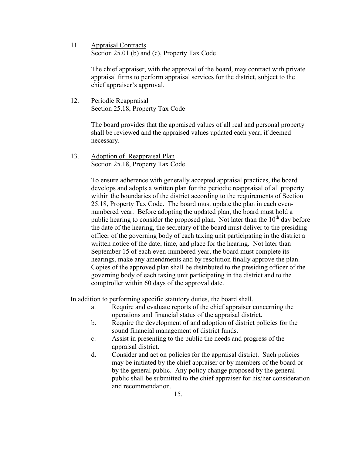11. Appraisal Contracts Section 25.01 (b) and (c), Property Tax Code

> The chief appraiser, with the approval of the board, may contract with private appraisal firms to perform appraisal services for the district, subject to the chief appraiser's approval.

12. Periodic Reappraisal Section 25.18, Property Tax Code

> The board provides that the appraised values of all real and personal property shall be reviewed and the appraised values updated each year, if deemed necessary.

13. Adoption of Reappraisal Plan Section 25.18, Property Tax Code

> To ensure adherence with generally accepted appraisal practices, the board develops and adopts a written plan for the periodic reappraisal of all property within the boundaries of the district according to the requirements of Section 25.18, Property Tax Code. The board must update the plan in each evennumbered year. Before adopting the updated plan, the board must hold a public hearing to consider the proposed plan. Not later than the  $10<sup>th</sup>$  day before the date of the hearing, the secretary of the board must deliver to the presiding officer of the governing body of each taxing unit participating in the district a written notice of the date, time, and place for the hearing. Not later than September 15 of each even-numbered year, the board must complete its hearings, make any amendments and by resolution finally approve the plan. Copies of the approved plan shall be distributed to the presiding officer of the governing body of each taxing unit participating in the district and to the comptroller within 60 days of the approval date.

In addition to performing specific statutory duties, the board shall.

- a. Require and evaluate reports of the chief appraiser concerning the operations and financial status of the appraisal district.
- b. Require the development of and adoption of district policies for the sound financial management of district funds.
- c. Assist in presenting to the public the needs and progress of the appraisal district.
- d. Consider and act on policies for the appraisal district. Such policies may be initiated by the chief appraiser or by members of the board or by the general public. Any policy change proposed by the general public shall be submitted to the chief appraiser for his/her consideration and recommendation.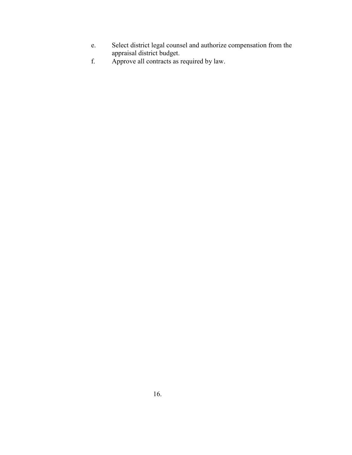- e. Select district legal counsel and authorize compensation from the appraisal district budget.
- f. Approve all contracts as required by law.